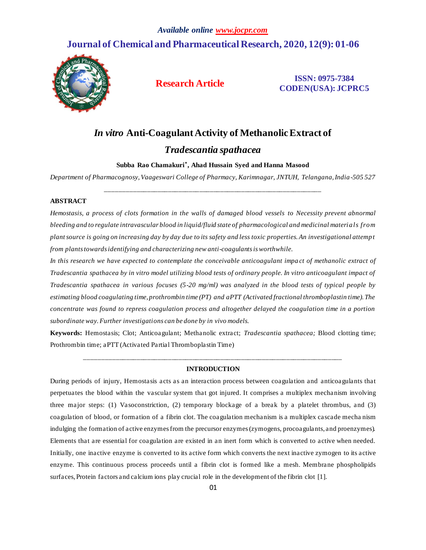# **Journal of Chemical and Pharmaceutical Research, 2020, 12(9): 01-06**



**Research Article ISSN: 0975-7384 CODEN(USA): JCPRC5**

# *In vitro* **Anti-Coagulant Activity of Methanolic Extract of**

# *Tradescantia spathacea*

### **Subba Rao Chamakuri\* , Ahad Hussain Syed and Hanna Masood**

*Department of Pharmacognosy, Vaageswari College of Pharmacy, Karimnagar, JNTUH, Telangana, India-505 527* \_\_\_\_\_\_\_\_\_\_\_\_\_\_\_\_\_\_\_\_\_\_\_\_\_\_\_\_\_\_\_\_\_\_\_\_\_\_\_\_\_\_\_\_\_\_\_\_\_\_\_\_\_\_\_\_\_\_\_\_\_\_

# **ABSTRACT**

*Hemostasis, a process of clots formation in the walls of damaged blood vessels to Necessity prevent abnormal bleeding and to regulate intravascular blood in liquid/fluid state of pharmacological and medicinal materials from plant source is going on increasing day by day due to its safety and less toxic properties. An investigational attempt from plants towards identifying and characterizing new anti-coagulants is worthwhile.*

*In this research we have expected to contemplate the conceivable anticoagulant impa ct of methanolic extract of Tradescantia spathacea by in vitro model utilizing blood tests of ordinary people. In vitro anticoagulant impact of Tradescantia spathacea in various focuses (5-20 mg/ml) was analyzed in the blood tests of typical people by estimating blood coagulating time, prothrombin time (PT) and aPTT (Activated fractional thromboplastin time). The concentrate was found to repress coagulation process and altogether delayed the coagulation time in a portion subordinate way. Further investigations can be done by in vivo models.*

**Keywords:** Hemostasis; Clot; Anticoagulant; Methanolic extract; *Tradescantia spathacea;* Blood clotting time; Prothrombin time; aPTT (Activated Partial Thromboplastin Time)

# *\_\_\_\_\_\_\_\_\_\_\_\_\_\_\_\_\_\_\_\_\_\_\_\_\_\_\_\_\_\_\_\_\_\_\_\_\_\_\_\_\_\_\_\_\_\_\_\_\_\_\_\_\_\_\_\_\_\_\_\_\_\_\_\_\_\_\_\_\_\_\_\_\_\_* **INTRODUCTION**

During periods of injury, Hemostasis acts as an interaction process between coagulation and anticoagulants that perpetuates the blood within the vascular system that got injured. It comprises a multiplex mechanism involving three major steps: (1) Vasoconstriction, (2) temporary blockage of a break by a platelet thrombus, and (3) coagulation of blood, or formation of a fibrin clot. The coagulation mechanism is a multiplex cascade mecha nism indulging the formation of active enzymes from the precursor enzymes (zymogens, procoagulants, and proenzymes). Elements that are essential for coagulation are existed in an inert form which is converted to active when needed. Initially, one inactive enzyme is converted to its active form which converts the next inactive zymogen to its active enzyme. This continuous process proceeds until a fibrin clot is formed like a mesh. Membrane phospholipids surfaces, Protein factors and calcium ions play crucial role in the development of the fibrin clot [1].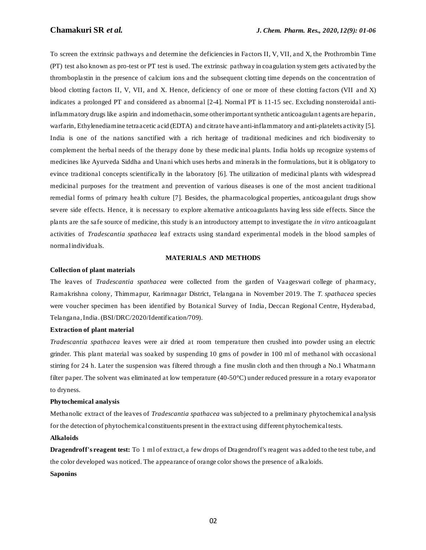To screen the extrinsic pathways and determine the deficiencies in Factors II, V, VII, and X, the Prothrombin Time (PT) test also known as pro-test or PT test is used. The extrinsic pathway in coagulation system gets activated by the thromboplastin in the presence of calcium ions and the subsequent clotting time depends on the concentration of blood clotting factors II, V, VII, and X. Hence, deficiency of one or more of these clotting factors (VII and X) indicates a prolonged PT and considered as abnormal [2-4]. Normal PT is 11-15 sec. Excluding nonsteroidal antiinflammatory drugs like aspirin and indomethacin, some other important synthetic anticoagulan t agents are heparin, warfarin, Ethylenediamine tetraacetic acid (EDTA) and citrate have anti-inflammatory and anti-platelets activity [5]. India is one of the nations sanctified with a rich heritage of traditional medicines and rich biodiversity to complement the herbal needs of the therapy done by these medicinal plants. India holds up recognize systems of medicines like Ayurveda Siddha and Unani which uses herbs and minerals in the formulations, but it is obligatory to evince traditional concepts scientifically in the laboratory [6]. The utilization of medicinal plants with widespread medicinal purposes for the treatment and prevention of various diseases is one of the most ancient traditional remedial forms of primary health culture [7]. Besides, the pharmacological properties, anticoagulant drugs show severe side effects. Hence, it is necessary to explore alternative anticoagulants having less side effects. Since the plants are the safe source of medicine, this study is an introductory attempt to investigate the *in vitro* anticoagulant activities of *Tradescantia spathacea* leaf extracts using standard experimental models in the blood samples of normalindividuals.

## **MATERIALS AND METHODS**

### **Collection of plant materials**

The leaves of *Tradescantia spathacea* were collected from the garden of Vaageswari college of pharmacy, Ramakrishna colony, Thimmapur, Karimnagar District, Telangana in November 2019. The *T. spathacea* species were voucher specimen has been identified by Botanical Survey of India, Deccan Regional Centre, Hyderabad, Telangana, India. (BSI/DRC/2020/Identification/709).

### **Extraction of plant material**

*Tradescantia spathacea* leaves were air dried at room temperature then crushed into powder using an electric grinder. This plant material was soaked by suspending 10 gms of powder in 100 ml of methanol with occasional stirring for 24 h. Later the suspension was filtered through a fine muslin cloth and then through a No.1 Whatmann filter paper. The solvent was eliminated at low temperature (40-50°C) under reduced pressure in a rotary evaporator to dryness.

### **Phytochemical analysis**

Methanolic extract of the leaves of *Tradescantia spathacea* was subjected to a preliminary phytochemical analysis for the detection of phytochemical constituents present in the extract using different phytochemical tests.

### **Alkaloids**

**Dragendroff's reagent test:** To 1 ml of extract, a few drops of Dragendroff's reagent was added to the test tube, and the color developed was noticed. The appearance of orange color shows the presence of alkaloids.

# **Saponins**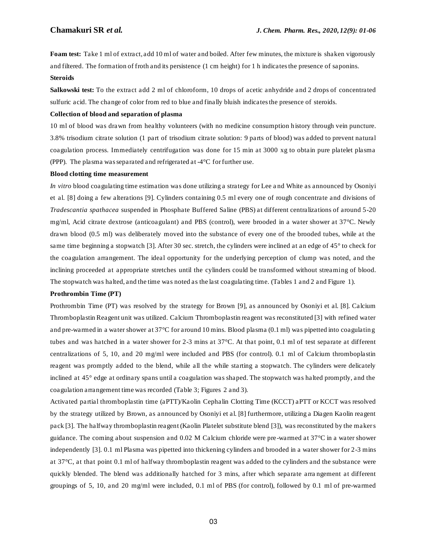**Foam test:** Take 1 ml of extract, add 10 ml of water and boiled. After few minutes, the mixture is shaken vigorously and filtered. The formation of froth and its persistence (1 cm height) for 1 h indicates the presence of saponins. **Steroids**

**Salkowski test:** To the extract add 2 ml of chloroform, 10 drops of acetic anhydride and 2 drops of concentrated sulfuric acid. The change of color from red to blue and finally bluish indicates the presence of steroids.

## **Collection of blood and separation of plasma**

10 ml of blood was drawn from healthy volunteers (with no medicine consumption history through vein puncture. 3.8% trisodium citrate solution (1 part of trisodium citrate solution: 9 parts of blood) was added to prevent natural coagulation process. Immediately centrifugation was done for 15 min at 3000 xg to obtain pure platelet plasma (PPP). The plasma was separated and refrigerated at -4°C for further use.

### **Blood clotting time measurement**

*In vitro* blood coagulating time estimation was done utilizing a strategy for Lee a nd White as announced by Osoniyi et al. [8] doing a few alterations [9]. Cylinders containing 0.5 ml every one of rough concentrate and divisions of *Tradescantia spathacea* suspended in Phosphate Buffered Saline (PBS) at different centralizations of around 5-20 mg/ml, Acid citrate dextrose (anticoagulant) and PBS (control), were brooded in a water shower at 37°C. Newly drawn blood (0.5 ml) was deliberately moved into the substance of every one of the brooded tubes, while at the same time beginning a stopwatch [3]. After 30 sec. stretch, the cylinders were inclined at an edge of 45° to check for the coagulation arrangement. The ideal opportunity for the underlying perception of clump was noted, and the inclining proceeded at appropriate stretches until the cylinders could be transformed without streaming of blood. The stopwatch was halted, and the time was noted as the last coagulating time. (Tables 1 and 2 and Figure 1).

### **Prothrombin Time (PT)**

Prothrombin Time (PT) was resolved by the strategy for Brown [9], as announced by Osoniyi et al. [8]. Calcium Thromboplastin Reagent unit was utilized. Calcium Thromboplastin reagent was reconstituted [3] with refined water and pre-warmed in a water shower at  $37^{\circ}$ C for around 10 mins. Blood plasma (0.1 ml) was pipetted into coagulating tubes and was hatched in a water shower for 2-3 mins at 37°C. At that point, 0.1 ml of test separate at different centralizations of 5, 10, and 20 mg/ml were included and PBS (for control). 0.1 ml of Calcium thromboplastin reagent was promptly added to the blend, while all the while starting a stopwatch. The cylinders were delicately inclined at 45° edge at ordinary spans until a coagulation was shaped. The stopwatch was halted promptly, and the coagulation arrangement time was recorded (Table 3; Figures 2 and 3).

Activated partial thromboplastin time (aPTT)/Kaolin Cephalin Clotting Time (KCCT) aPTT or KCCT was resolved by the strategy utilized by Brown, as announced by Osoniyi et al. [8] furthermore, utilizing a Diagen Kaolin reagent pack [3]. The halfway thromboplastin reagent (Kaolin Platelet substitute blend [3]), was reconstituted by the makers guidance. The coming about suspension and 0.02 M Calcium chloride were pre-warmed at 37°C in a water shower independently [3]. 0.1 ml Plasma was pipetted into thickening cylinders and brooded in a water shower for 2-3 mins at 37°C, at that point 0.1 ml of halfway thromboplastin reagent was added to the cylinders and the substance were quickly blended. The blend was additionally hatched for 3 mins, after which separate arra ngement at different groupings of 5, 10, and 20 mg/ml were included, 0.1 ml of PBS (for control), followed by 0.1 ml of pre-warmed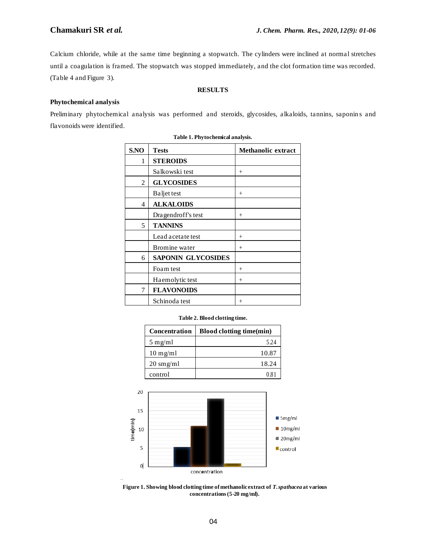Calcium chloride, while at the same time beginning a stopwatch. The cylinders were inclined at normal stretches until a coagulation is framed. The stopwatch was stopped immediately, and the clot formation time was recorded. (Table 4 and Figure 3).

# **RESULTS**

## **Phytochemical analysis**

Preliminary phytochemical analysis was performed and steroids, glycosides, alkaloids, tannins, saponin s and flavonoids were identified.

| S.NO | <b>Tests</b>              | <b>Methanolic extract</b> |
|------|---------------------------|---------------------------|
| 1    | <b>STEROIDS</b>           |                           |
|      | Salkowski test            | $^{+}$                    |
| 2    | <b>GLYCOSIDES</b>         |                           |
|      | Baljet test               | $^{+}$                    |
| 4    | <b>ALKALOIDS</b>          |                           |
|      | Dragendroff's test        | $^{+}$                    |
| 5    | <b>TANNINS</b>            |                           |
|      | Lead acetate test         | $+$                       |
|      | Bromine water             | $+$                       |
| 6    | <b>SAPONIN GLYCOSIDES</b> |                           |
|      | Foam test                 | $^{+}$                    |
|      | Haemolytic test           | $+$                       |
| 7    | <b>FLAVONOIDS</b>         |                           |
|      | Schinoda test             | $^{+}$                    |

|  | Table 1. Phytochemical analysis. |
|--|----------------------------------|
|--|----------------------------------|

### **Table 2. Blood clotting time.**

| Concentration       | <b>Blood clotting time(min)</b> |  |
|---------------------|---------------------------------|--|
| $5 \text{ mg/ml}$   | 5.24                            |  |
| $10$ mg/ml          | 10.87                           |  |
| $20 \text{ smg/ml}$ | 18.24                           |  |
| control             | 0.81                            |  |



**Figure 1. Showing blood clotting time of methanolic extract of** *T. spathacea* **at various concentrations (5-20 mg/ml).**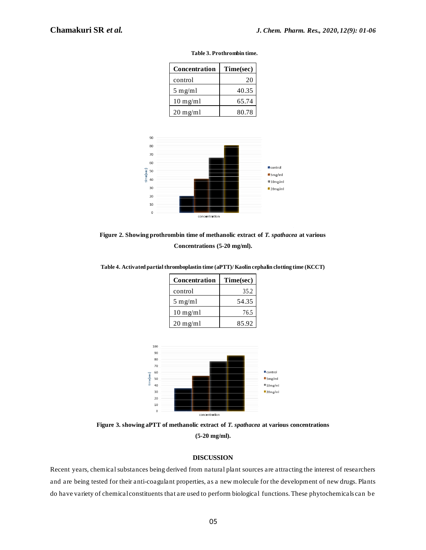| Concentration      | Time(sec) |
|--------------------|-----------|
| control            | 20        |
| $5$ mg/ml          | 40.35     |
| $10 \text{ mg/ml}$ | 65.74     |
| $20$ mg/ml         | 80.78     |

**Table 3. Prothrombin time.**



**Figure 2. Showing prothrombin time of methanolic extract of** *T. spathacea* **at various Concentrations (5-20 mg/ml).**

**Table 4. Activated partial thromboplastin time (aPTT)/ Kaolin cephalin clotting time (KCCT)**

| Concentration | Time(sec) |
|---------------|-----------|
| control       | 35.2      |
| $5$ mg/ml     | 54.35     |
| $10$ mg/ml    | 76.5      |
| $20$ mg/ml    | 85.92     |



**Figure 3. showing aPTT of methanolic extract of** *T. spathacea* **at various concentrations (5-20 mg/ml).**

## **DISCUSSION**

Recent years, chemical substances being derived from natural plant sources are attracting the interest of researchers and are being tested for their anti-coagulant properties, as a new molecule for the development of new drugs. Plants do have variety of chemical constituents that are used to perform biological functions. These phytochemicals can be